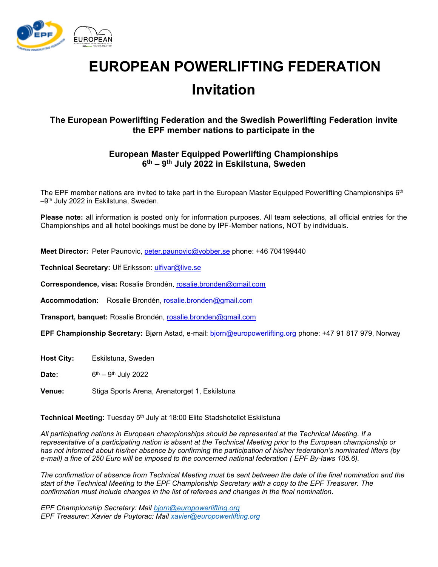

# **EUROPEAN POWERLIFTING FEDERATION Invitation**

## **The European Powerlifting Federation and the Swedish Powerlifting Federation invite the EPF member nations to participate in the**

### **European Master Equipped Powerlifting Championships 6 th – 9 th July 2022 in Eskilstuna, Sweden**

The EPF member nations are invited to take part in the European Master Equipped Powerlifting Championships 6th  $-9<sup>th</sup>$  July 2022 in Eskilstuna, Sweden.

**Please note:** all information is posted only for information purposes. All team selections, all official entries for the Championships and all hotel bookings must be done by IPF-Member nations, NOT by individuals.

**Meet Director:** Peter Paunovic, [peter.paunovic@yobber.se](mailto:peter.paunovic@yobber.se) phone: +46 704199440

Technical Secretary: Ulf Eriksson: [ulfivar@live.se](mailto:ulfivar@live.se)

**Correspondence, visa:** Rosalie Brondén, [rosalie.bronden@gmail.com](mailto:rosalie.bronden@gmail.com)

**Accommodation:** Rosalie Brondén, [rosalie.bronden@gmail.com](mailto:rosalie.bronden@gmail.com)

**Transport, banquet:** Rosalie Brondén, [rosalie.bronden@gmail.com](mailto:rosalie.bronden@gmail.com)

**EPF Championship Secretary:** Bjørn Astad, e-mail: [bjorn@europowerlifting.org](mailto:bjorn@europowerlifting.org) phone: +47 91 817 979, Norway

**Host City:** Eskilstuna, Sweden

Date: <sup>th</sup> – 9<sup>th</sup> July 2022

**Venue:** Stiga Sports Arena, Arenatorget 1, Eskilstuna

**Technical Meeting:** Tuesday 5 th July at 18:00 Elite Stadshotellet Eskilstuna

*All participating nations in European championships should be represented at the Technical Meeting. If a representative of a participating nation is absent at the Technical Meeting prior to the European championship or has not informed about his/her absence by confirming the participation of his/her federation's nominated lifters (by e-mail) a fine of 250 Euro will be imposed to the concerned national federation ( EPF By-laws 105.6).* 

*The confirmation of absence from Technical Meeting must be sent between the date of the final nomination and the start of the Technical Meeting to the EPF Championship Secretary with a copy to the EPF Treasurer. The confirmation must include changes in the list of referees and changes in the final nomination.* 

*EPF Championship Secretary: Mail [bjorn@europowerlifting.org](mailto:bjorn@europowerlifting.org) EPF Treasurer: Xavier de Puytorac: Mail [xavier@europowerlifting.org](mailto:xavier@europowerlifting.org)*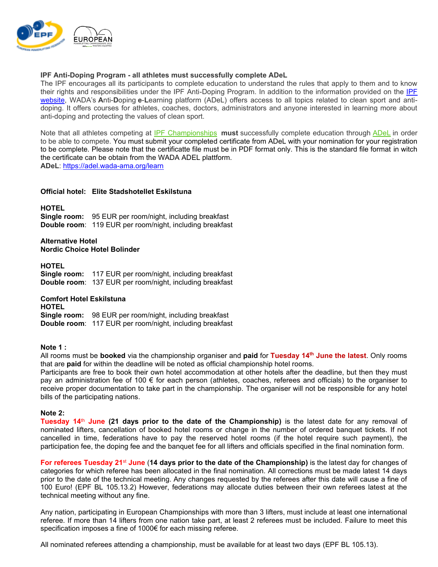

#### **IPF Anti-Doping Program - all athletes must successfully complete ADeL**

The IPF encourages all its participants to complete education to understand the rules that apply to them and to know their rights and responsibilities under the IPF Anti-Doping Program. In addition to the information provided on the [IPF](https://www.powerlifting.sport/anti-doping/education)  [website](https://www.powerlifting.sport/anti-doping/education), WADA's **A**nti-**D**oping **e**-**L**earning platform (ADeL) offers access to all topics related to clean sport and antidoping. It offers courses for athletes, coaches, doctors, administrators and anyone interested in learning more about anti-doping and protecting the values of clean sport.

Note that all athletes competing at [IPF Championships](https://www.powerlifting.sport/championships/calendar) **must** successfully complete education through [ADeL](https://adel.wada-ama.org/en) in order to be able to compete. You must submit your completed certificate from ADeL with your nomination for your registration to be complete. Please note that the certificatte file must be in PDF format only. This is the standard file format in witch the certificate can be obtain from the WADA ADEL plattform.

**ADeL**: <https://adel.wada-ama.org/learn>

#### **Official hotel: Elite Stadshotellet Eskilstuna**

#### **HOTEL**

**Single room:** 95 EUR per room/night, including breakfast **Double room**: 119 EUR per room/night, including breakfast

#### **Alternative Hotel Nordic Choice Hotel Bolinder**

**HOTEL Single room:** 117 EUR per room/night, including breakfast **Double room**: 137 EUR per room/night, including breakfast

#### **Comfort Hotel Eskilstuna**

**HOTEL Single room:** 98 EUR per room/night, including breakfast **Double room**: 117 EUR per room/night, including breakfast

#### **Note 1 :**

All rooms must be **booked** via the championship organiser and **paid** for **Tuesday 14th June the latest**. Only rooms that are **paid** for within the deadline will be noted as official championship hotel rooms.

Participants are free to book their own hotel accommodation at other hotels after the deadline, but then they must pay an administration fee of 100 € for each person (athletes, coaches, referees and officials) to the organiser to receive proper documentation to take part in the championship. The organiser will not be responsible for any hotel bills of the participating nations.

#### **Note 2:**

**Tuesday 14**th **June (21 days prior to the date of the Championship)** is the latest date for any removal of nominated lifters, cancellation of booked hotel rooms or change in the number of ordered banquet tickets. If not cancelled in time, federations have to pay the reserved hotel rooms (if the hotel require such payment), the participation fee, the doping fee and the banquet fee for all lifters and officials specified in the final nomination form.

**For referees Tuesday 21** st **June** (**14 days prior to the date of the Championship)** is the latest day for changes of categories for which referee has been allocated in the final nomination. All corrections must be made latest 14 days prior to the date of the technical meeting. Any changes requested by the referees after this date will cause a fine of 100 Euro! (EPF BL 105.13.2) However, federations may allocate duties between their own referees latest at the technical meeting without any fine.

Any nation, participating in European Championships with more than 3 lifters, must include at least one international referee. If more than 14 lifters from one nation take part, at least 2 referees must be included. Failure to meet this specification imposes a fine of 1000€ for each missing referee.

All nominated referees attending a championship, must be available for at least two days (EPF BL 105.13).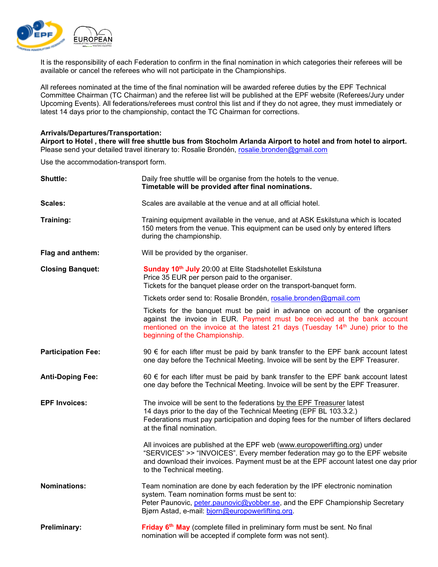

It is the responsibility of each Federation to confirm in the final nomination in which categories their referees will be available or cancel the referees who will not participate in the Championships.

All referees nominated at the time of the final nomination will be awarded referee duties by the EPF Technical Committee Chairman (TC Chairman) and the referee list will be published at the EPF website (Referees/Jury under Upcoming Events). All federations/referees must control this list and if they do not agree, they must immediately or latest 14 days prior to the championship, contact the TC Chairman for corrections.

#### **Arrivals/Departures/Transportation:**

**Airport to Hotel , there will free shuttle bus from Stocholm Arlanda Airport to hotel and from hotel to airport.** Please send your detailed travel itinerary to: Rosalie Brondén, [rosalie.bronden@gmail.com](mailto:rosalie.bronden@gmail.com)

Use the accommodation-transport form.

| <b>Shuttle:</b>           | Daily free shuttle will be organise from the hotels to the venue.<br>Timetable will be provided after final nominations.                                                                                                                                                       |  |  |  |  |
|---------------------------|--------------------------------------------------------------------------------------------------------------------------------------------------------------------------------------------------------------------------------------------------------------------------------|--|--|--|--|
| Scales:                   | Scales are available at the venue and at all official hotel.                                                                                                                                                                                                                   |  |  |  |  |
| Training:                 | Training equipment available in the venue, and at ASK Eskilstuna which is located<br>150 meters from the venue. This equipment can be used only by entered lifters<br>during the championship.                                                                                 |  |  |  |  |
| Flag and anthem:          | Will be provided by the organiser.                                                                                                                                                                                                                                             |  |  |  |  |
| <b>Closing Banquet:</b>   | Sunday 10 <sup>th</sup> July 20:00 at Elite Stadshotellet Eskilstuna<br>Price 35 EUR per person paid to the organiser.<br>Tickets for the banquet please order on the transport-banquet form.                                                                                  |  |  |  |  |
|                           | Tickets order send to: Rosalie Brondén, rosalie.bronden@gmail.com                                                                                                                                                                                                              |  |  |  |  |
|                           | Tickets for the banquet must be paid in advance on account of the organiser<br>against the invoice in EUR. Payment must be received at the bank account<br>mentioned on the invoice at the latest 21 days (Tuesday 14th June) prior to the<br>beginning of the Championship.   |  |  |  |  |
| <b>Participation Fee:</b> | 90 € for each lifter must be paid by bank transfer to the EPF bank account latest<br>one day before the Technical Meeting. Invoice will be sent by the EPF Treasurer.                                                                                                          |  |  |  |  |
| <b>Anti-Doping Fee:</b>   | 60 € for each lifter must be paid by bank transfer to the EPF bank account latest<br>one day before the Technical Meeting. Invoice will be sent by the EPF Treasurer.                                                                                                          |  |  |  |  |
| <b>EPF Invoices:</b>      | The invoice will be sent to the federations by the EPF Treasurer latest<br>14 days prior to the day of the Technical Meeting (EPF BL 103.3.2.)<br>Federations must pay participation and doping fees for the number of lifters declared<br>at the final nomination.            |  |  |  |  |
|                           | All invoices are published at the EPF web (www.europowerlifting.org) under<br>"SERVICES" >> "INVOICES". Every member federation may go to the EPF website<br>and download their invoices. Payment must be at the EPF account latest one day prior<br>to the Technical meeting. |  |  |  |  |
| <b>Nominations:</b>       | Team nomination are done by each federation by the IPF electronic nomination<br>system. Team nomination forms must be sent to:<br>Peter Paunovic, <i>peter.paunovic@yobber.se</i> , and the EPF Championship Secretary<br>Bjørn Astad, e-mail: bjorn@europowerlifting.org.     |  |  |  |  |
| Preliminary:              | Friday 6 <sup>th</sup> May (complete filled in preliminary form must be sent. No final<br>nomination will be accepted if complete form was not sent).                                                                                                                          |  |  |  |  |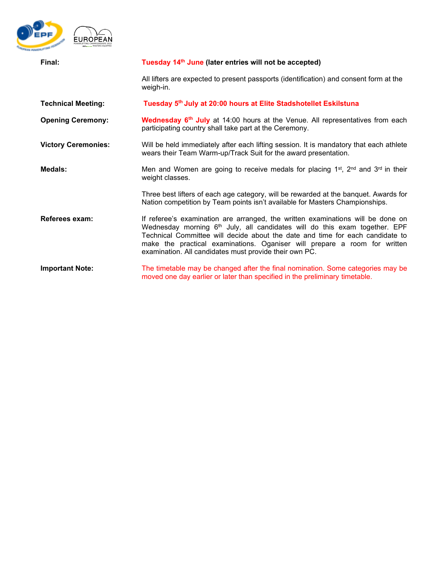

| Final:                     | Tuesday 14 <sup>th</sup> June (later entries will not be accepted)                                                                                                                                                                                                                                                                                                                                |  |  |  |
|----------------------------|---------------------------------------------------------------------------------------------------------------------------------------------------------------------------------------------------------------------------------------------------------------------------------------------------------------------------------------------------------------------------------------------------|--|--|--|
|                            | All lifters are expected to present passports (identification) and consent form at the<br>weigh-in.                                                                                                                                                                                                                                                                                               |  |  |  |
| <b>Technical Meeting:</b>  | Tuesday 5th July at 20:00 hours at Elite Stadshotellet Eskilstuna                                                                                                                                                                                                                                                                                                                                 |  |  |  |
| <b>Opening Ceremony:</b>   | Wednesday 6 <sup>th</sup> July at 14:00 hours at the Venue. All representatives from each<br>participating country shall take part at the Ceremony.                                                                                                                                                                                                                                               |  |  |  |
| <b>Victory Ceremonies:</b> | Will be held immediately after each lifting session. It is mandatory that each athlete<br>wears their Team Warm-up/Track Suit for the award presentation.                                                                                                                                                                                                                                         |  |  |  |
| Medals:                    | Men and Women are going to receive medals for placing $1st$ , $2nd$ and $3rd$ in their<br>weight classes.                                                                                                                                                                                                                                                                                         |  |  |  |
|                            | Three best lifters of each age category, will be rewarded at the banquet. Awards for<br>Nation competition by Team points isn't available for Masters Championships.                                                                                                                                                                                                                              |  |  |  |
| Referees exam:             | If referee's examination are arranged, the written examinations will be done on<br>Wednesday morning 6 <sup>th</sup> July, all candidates will do this exam together. EPF<br>Technical Committee will decide about the date and time for each candidate to<br>make the practical examinations. Oganiser will prepare a room for written<br>examination. All candidates must provide their own PC. |  |  |  |
| <b>Important Note:</b>     | The timetable may be changed after the final nomination. Some categories may be<br>moved one day earlier or later than specified in the preliminary timetable.                                                                                                                                                                                                                                    |  |  |  |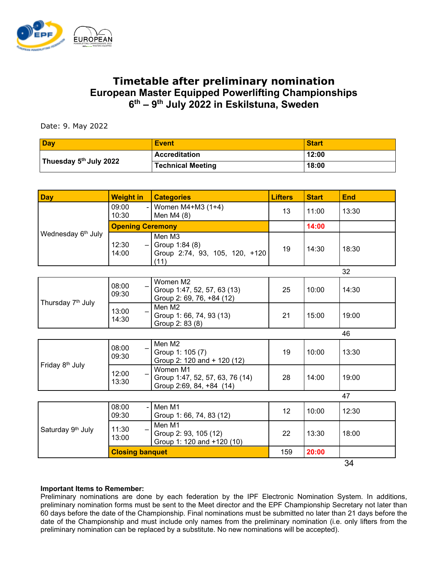

# **Timetable after preliminary nomination European Master Equipped Powerlifting Championships 6 th – 9 th July 2022 in Eskilstuna, Sweden**

Date: 9. May 2022

| <b>Day</b>                         | <b>Event</b>      | <b>Start</b> |
|------------------------------------|-------------------|--------------|
|                                    | Accreditation     | 12:00        |
| Thuesday 5 <sup>th</sup> July 2022 | Technical Meeting | 18:00        |

| <b>Day</b>                     | <b>Weight in</b>           | <b>Categories</b>                                                       | <b>Lifters</b> | <b>Start</b> | <b>End</b> |
|--------------------------------|----------------------------|-------------------------------------------------------------------------|----------------|--------------|------------|
| Wednesday 6 <sup>th</sup> July | 09:00<br>10:30             | - Women $M4+M3$ (1+4)<br>Men M4 (8)                                     | 13             | 11:00        | 13:30      |
|                                | <b>Opening Ceremony</b>    |                                                                         | 14:00          |              |            |
|                                | 12:30<br>14:00             | Men M3<br>$-$ Group 1:84 (8)<br>Group 2:74, 93, 105, 120, +120<br>(11)  | 19             | 14:30        | 18:30      |
|                                |                            | 32                                                                      |                |              |            |
| Thursday 7 <sup>th</sup> July  | 08:00<br>09:30             | Women M2<br>Group 1:47, 52, 57, 63 (13)<br>Group 2: 69, 76, +84 (12)    | 25             | 10:00        | 14:30      |
|                                | 13:00<br>$\equiv$<br>14:30 | Men M2<br>Group 1: 66, 74, 93 (13)<br>Group 2: 83 (8)                   | 21             | 15:00        | 19:00      |
|                                |                            |                                                                         |                |              | 46         |
| Friday 8 <sup>th</sup> July    | 08:00<br>09:30             | Men M2<br>Group 1: 105 (7)<br>Group 2: 120 and + 120 (12)               | 19             | 10:00        | 13:30      |
|                                | 12:00<br>13:30             | Women M1<br>Group 1:47, 52, 57, 63, 76 (14)<br>Group 2:69, 84, +84 (14) | 28             | 14:00        | 19:00      |
|                                |                            | 47                                                                      |                |              |            |
| Saturday 9th July              | 08:00<br>09:30             | Men M1<br>Group 1: 66, 74, 83 (12)                                      | 12             | 10:00        | 12:30      |
|                                | 11:30<br>13:00             | Men M1<br>Group 2: 93, 105 (12)<br>Group 1: 120 and +120 (10)           | 22             | 13:30        | 18:00      |
|                                | <b>Closing banquet</b>     |                                                                         | 159            | 20:00        |            |
|                                |                            |                                                                         |                |              | 34         |

#### **Important Items to Remember:**

Preliminary nominations are done by each federation by the IPF Electronic Nomination System. In additions, preliminary nomination forms must be sent to the Meet director and the EPF Championship Secretary not later than 60 days before the date of the Championship. Final nominations must be submitted no later than 21 days before the date of the Championship and must include only names from the preliminary nomination (i.e. only lifters from the preliminary nomination can be replaced by a substitute. No new nominations will be accepted).